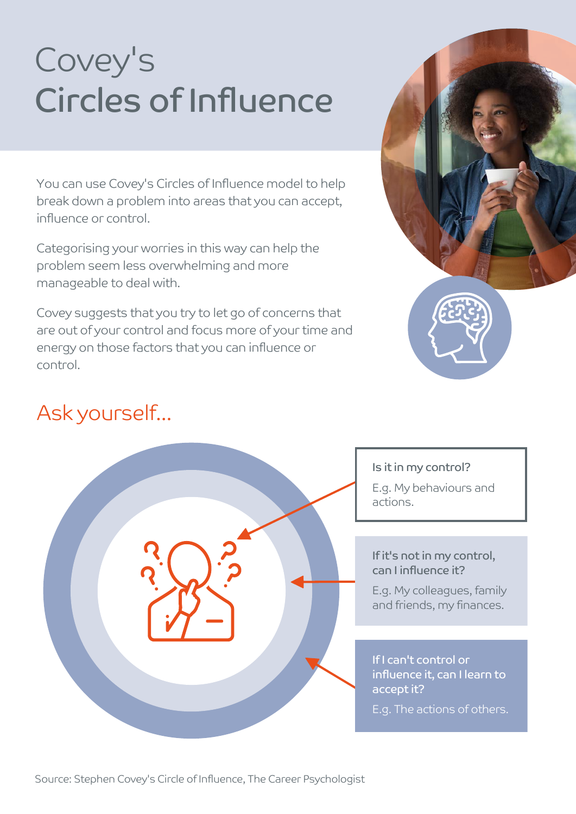# Covey's Circles of Influence

You can use Covey's Circles of Influence model to help break down a problem into areas that you can accept, influence or control.

Categorising your worries in this way can help the problem seem less overwhelming and more manageable to deal with.

Covey suggests that you try to let go of concerns that are out of your control and focus more of your time and energy on those factors that you can influence or control.



## Ask yourself...



#### Is it in my control?

E.g. My behaviours and actions.

#### If it's not in my control, can I influence it?

E.g. My colleagues, family and friends, my finances.

#### If I can't control or influence it, can I learn to accept it?

E.g. The actions of others.